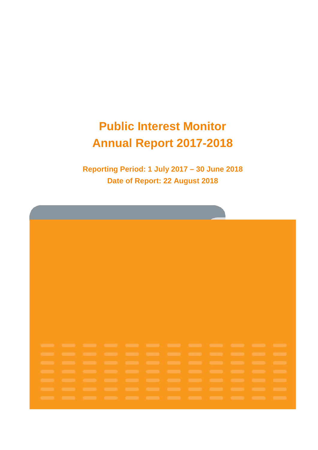# **Public Interest Monitor Annual Report 2017-2018**

**Reporting Period: 1 July 2017 – 30 June 2018 Date of Report: 22 August 2018**

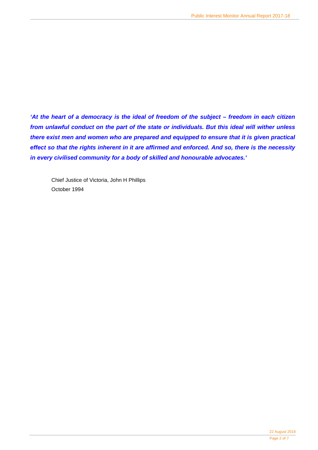*'At the heart of a democracy is the ideal of freedom of the subject – freedom in each citizen from unlawful conduct on the part of the state or individuals. But this ideal will wither unless there exist men and women who are prepared and equipped to ensure that it is given practical effect so that the rights inherent in it are affirmed and enforced. And so, there is the necessity in every civilised community for a body of skilled and honourable advocates.'*

Chief Justice of Victoria, John H Phillips October 1994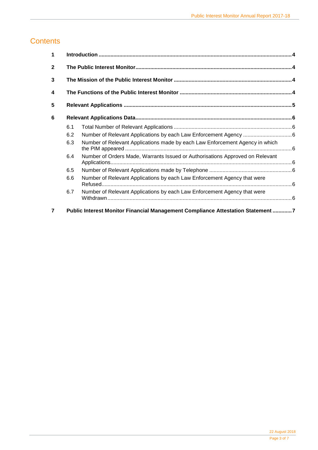### **Contents**

| 1                       |     |                                                                                 |  |
|-------------------------|-----|---------------------------------------------------------------------------------|--|
| $\mathbf{2}$            |     |                                                                                 |  |
| 3                       |     |                                                                                 |  |
| $\overline{\mathbf{4}}$ |     |                                                                                 |  |
| 5                       |     |                                                                                 |  |
| 6                       |     |                                                                                 |  |
|                         | 6.1 |                                                                                 |  |
|                         | 6.2 |                                                                                 |  |
|                         | 6.3 | Number of Relevant Applications made by each Law Enforcement Agency in which    |  |
|                         | 6.4 | Number of Orders Made, Warrants Issued or Authorisations Approved on Relevant   |  |
|                         | 6.5 |                                                                                 |  |
|                         | 6.6 | Number of Relevant Applications by each Law Enforcement Agency that were        |  |
|                         | 6.7 | Number of Relevant Applications by each Law Enforcement Agency that were        |  |
| 7                       |     | Public Interest Monitor Financial Management Compliance Attestation Statement 7 |  |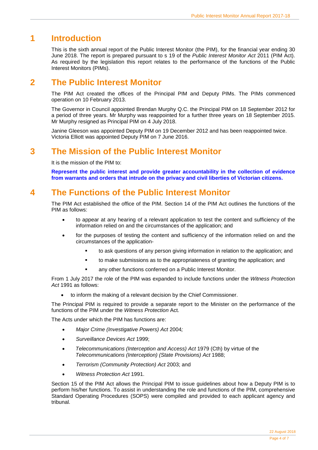# <span id="page-3-0"></span>**1 Introduction**

This is the sixth annual report of the Public Interest Monitor (the PIM), for the financial year ending 30 June 2018. The report is prepared pursuant to s 19 of the *Public Interest Monitor Act* 2011 (PIM Act). As required by the legislation this report relates to the performance of the functions of the Public Interest Monitors (PIMs).

### <span id="page-3-1"></span>**2 The Public Interest Monitor**

The PIM Act created the offices of the Principal PIM and Deputy PIMs. The PIMs commenced operation on 10 February 2013.

The Governor in Council appointed Brendan Murphy Q.C. the Principal PIM on 18 September 2012 for a period of three years. Mr Murphy was reappointed for a further three years on 18 September 2015. Mr Murphy resigned as Principal PIM on 4 July 2018.

Janine Gleeson was appointed Deputy PIM on 19 December 2012 and has been reappointed twice. Victoria Elliott was appointed Deputy PIM on 7 June 2016.

### <span id="page-3-2"></span>**3 The Mission of the Public Interest Monitor**

It is the mission of the PIM to:

**Represent the public interest and provide greater accountability in the collection of evidence from warrants and orders that intrude on the privacy and civil liberties of Victorian citizens.**

# <span id="page-3-3"></span>**4 The Functions of the Public Interest Monitor**

The PIM Act established the office of the PIM. Section 14 of the PIM Act outlines the functions of the PIM as follows:

- to appear at any hearing of a relevant application to test the content and sufficiency of the information relied on and the circumstances of the application; and
- for the purposes of testing the content and sufficiency of the information relied on and the circumstances of the application
	- to ask questions of any person giving information in relation to the application; and
	- to make submissions as to the appropriateness of granting the application; and
	- any other functions conferred on a Public Interest Monitor.

From 1 July 2017 the role of the PIM was expanded to include functions under the *Witness Protection Act* 1991 as follows:

• to inform the making of a relevant decision by the Chief Commissioner.

The Principal PIM is required to provide a separate report to the Minister on the performance of the functions of the PIM under the *Witness Protection* Act.

The Acts under which the PIM has functions are:

- *Major Crime (Investigative Powers) Act* 2004*;*
- *Surveillance Devices Act* 1999;
- *Telecommunications (Interception and Access) Act* 1979 (Cth) by virtue of the *Telecommunications (Interception) (State Provisions) Act* 1988;
- *Terrorism (Community Protection) Act* 2003; and
- *Witness Protection Act* 1991.

Section 15 of the PIM Act allows the Principal PIM to issue guidelines about how a Deputy PIM is to perform his/her functions. To assist in understanding the role and functions of the PIM, comprehensive Standard Operating Procedures (SOPS) were compiled and provided to each applicant agency and tribunal.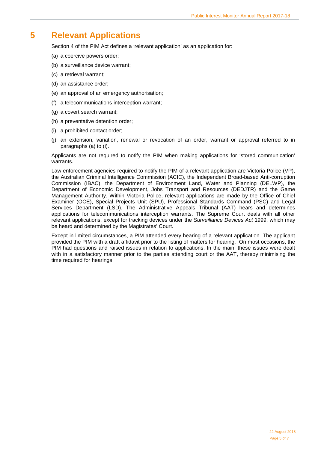### <span id="page-4-0"></span>**5 Relevant Applications**

Section 4 of the PIM Act defines a 'relevant application' as an application for:

- (a) a coercive powers order;
- (b) a surveillance device warrant;
- (c) a retrieval warrant;
- (d) an assistance order;
- (e) an approval of an emergency authorisation;
- (f) a telecommunications interception warrant;
- (g) a covert search warrant;
- (h) a preventative detention order;
- (i) a prohibited contact order;
- (j) an extension, variation, renewal or revocation of an order, warrant or approval referred to in paragraphs (a) to (i).

Applicants are not required to notify the PIM when making applications for 'stored communication' warrants.

Law enforcement agencies required to notify the PIM of a relevant application are Victoria Police (VP), the Australian Criminal Intelligence Commission (ACIC), the Independent Broad-based Anti-corruption Commission (IBAC), the Department of Environment Land, Water and Planning (DELWP), the Department of Economic Development, Jobs Transport and Resources (DEDJTR) and the Game Management Authority. Within Victoria Police, relevant applications are made by the Office of Chief Examiner (OCE), Special Projects Unit (SPU), Professional Standards Command (PSC) and Legal Services Department (LSD). The Administrative Appeals Tribunal (AAT) hears and determines applications for telecommunications interception warrants. The Supreme Court deals with all other relevant applications, except for tracking devices under the *Surveillance Devices Act* 1999, which may be heard and determined by the Magistrates' Court.

Except in limited circumstances, a PIM attended every hearing of a relevant application. The applicant provided the PIM with a draft affidavit prior to the listing of matters for hearing. On most occasions, the PIM had questions and raised issues in relation to applications. In the main, these issues were dealt with in a satisfactory manner prior to the parties attending court or the AAT, thereby minimising the time required for hearings.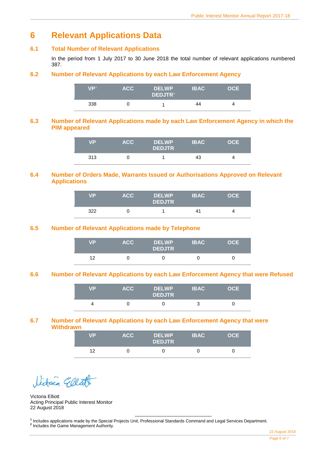# <span id="page-5-0"></span>**6 Relevant Applications Data**

#### <span id="page-5-1"></span>**6.1 Total Number of Relevant Applications**

In the period from 1 July 2017 to 30 June 2018 the total number of relevant applications numbered 387.

#### <span id="page-5-2"></span>**6.2 Number of Relevant Applications by each Law Enforcement Agency**

| VP <sup>1</sup> | ACC. | <b>DELWP</b><br>DEDJTR <sup>2</sup> | <b>IBAC</b> | <b>OCE</b> |
|-----------------|------|-------------------------------------|-------------|------------|
| 338             |      |                                     | 44          | Δ          |

#### <span id="page-5-3"></span>**6.3 Number of Relevant Applications made by each Law Enforcement Agency in which the PIM appeared**

| VP  | <b>ACC</b> | <b>DELWP</b><br><b>DEDJTR</b> | <b>IBAC</b> | OCE |
|-----|------------|-------------------------------|-------------|-----|
| 313 |            |                               | 43          | 4   |

#### <span id="page-5-4"></span>**6.4 Number of Orders Made, Warrants Issued or Authorisations Approved on Relevant Applications**

| <b>VP</b> | <b>ACC</b> | <b>DELWP</b><br><b>DEDJTR</b> | <b>IBAC</b> | <b>OCE</b> |
|-----------|------------|-------------------------------|-------------|------------|
| 322       |            |                               | 41          |            |

#### <span id="page-5-5"></span>**6.5 Number of Relevant Applications made by Telephone**

| VP | ACC. | <b>DELWP</b><br><b>DEDJTR</b> | <b>IBAC</b> | OCE |
|----|------|-------------------------------|-------------|-----|
| 12 |      |                               |             |     |

#### <span id="page-5-6"></span>**6.6 Number of Relevant Applications by each Law Enforcement Agency that were Refused**

| <b>VP</b> | ACC. | <b>DELWP</b><br><b>DEDJTR</b> | <b>IBAC</b> | OCE |
|-----------|------|-------------------------------|-------------|-----|
|           |      |                               | ર           |     |

#### <span id="page-5-7"></span>**6.7 Number of Relevant Applications by each Law Enforcement Agency that were Withdrawn**

| <b>VP</b> | <b>ACC</b> | <b>DELWP</b><br><b>DEDJTR</b> | <b>IBAC</b> | OCE |
|-----------|------------|-------------------------------|-------------|-----|
| 12        |            |                               |             |     |

Dictain Glla

Victoria Elliott Acting Principal Public Interest Monitor 22 August 2018

**<sup>1</sup>** Includes applications made by the Special Projects Unit, Professional Standards Command and Legal Services Department.

<span id="page-5-9"></span><span id="page-5-8"></span>**<sup>2</sup>** Includes the Game Management Authority.